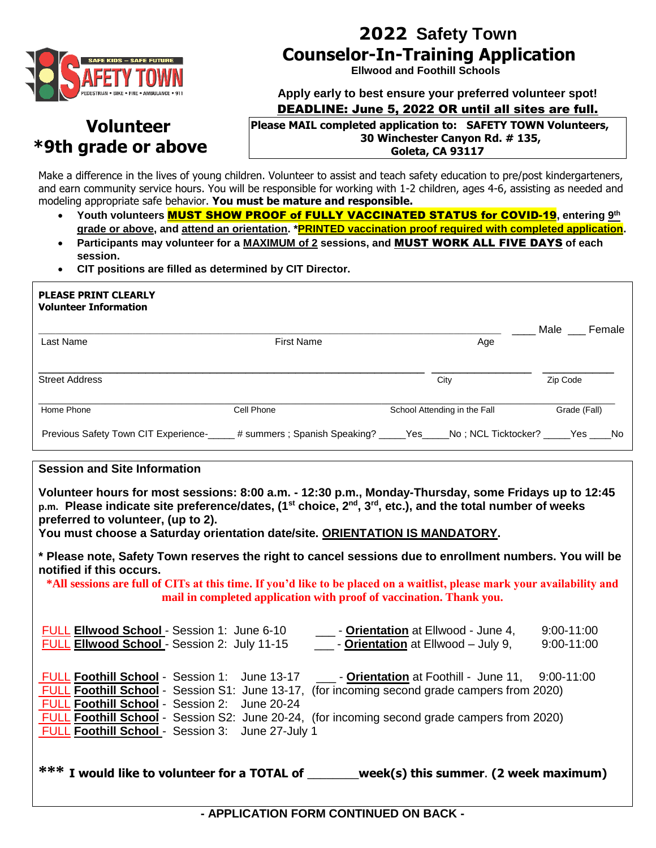

# **2022 Safety Town Counselor-In-Training Application**

 **Ellwood and Foothill Schools**

**Apply early to best ensure your preferred volunteer spot!** DEADLINE: June 5, 2022 OR until all sites are full.

## **Volunteer \*9th grade or above**

#### **Please MAIL completed application to: SAFETY TOWN Volunteers, 30 Winchester Canyon Rd. # 135, Goleta, CA 93117**

Make a difference in the lives of young children. Volunteer to assist and teach safety education to pre/post kindergarteners, and earn community service hours. You will be responsible for working with 1-2 children, ages 4-6, assisting as needed and modeling appropriate safe behavior. **You must be mature and responsible.**

- **Youth volunteers** MUST SHOW PROOF of FULLY VACCINATED STATUS for COVID-19**, entering 9 th grade or above, and attend an orientation. \*PRINTED vaccination proof required with completed application.**
- **Participants may volunteer for a MAXIMUM of 2 sessions, and** MUST WORK ALL FIVE DAYS **of each session.**
- **CIT positions are filled as determined by CIT Director.**

| <b>PLEASE PRINT CLEARLY</b><br><b>Volunteer Information</b>                  |                   |                              |                |
|------------------------------------------------------------------------------|-------------------|------------------------------|----------------|
| Last Name                                                                    | <b>First Name</b> | Age                          | Male<br>Female |
| <b>Street Address</b>                                                        |                   | City                         | Zip Code       |
| Home Phone                                                                   | Cell Phone        | School Attending in the Fall | Grade (Fall)   |
| Previous Safety Town CIT Experience-<br>____# summers ; Spanish Speaking? __ |                   | Yes<br>No: NCL Ticktocker?   | Yes<br>No.     |

### **Session and Site Information**

**Volunteer hours for most sessions: 8:00 a.m. - 12:30 p.m., Monday-Thursday, some Fridays up to 12:45 p.m. Please indicate site preference/dates, (1st choice, 2nd, 3rd, etc.), and the total number of weeks preferred to volunteer, (up to 2).** 

**You must choose a Saturday orientation date/site. ORIENTATION IS MANDATORY.**

**\* Please note, Safety Town reserves the right to cancel sessions due to enrollment numbers. You will be notified if this occurs.** 

**\*All sessions are full of CITs at this time. If you'd like to be placed on a waitlist, please mark your availability and mail in completed application with proof of vaccination. Thank you.**

| FULL Ellwood School - Session 1: June 6-10<br>FULL Ellwood School - Session 2: July 11-15        |  | - Orientation at Ellwood - June 4,<br>$\frac{1}{2}$ - Orientation at Ellwood – July 9,                                                                                  | $9:00 - 11:00$<br>$9:00 - 11:00$ |
|--------------------------------------------------------------------------------------------------|--|-------------------------------------------------------------------------------------------------------------------------------------------------------------------------|----------------------------------|
| FULL Foothill School - Session 1: June 13-17                                                     |  | <b>Comparison Control</b> 2.00-11:00 Let Foothill - June 11, 9:00-11:00<br>FULL Foothill School - Session S1: June 13-17, (for incoming second grade campers from 2020) |                                  |
| FULL Foothill School - Session 2: June 20-24<br>FULL Foothill School - Session 3: June 27-July 1 |  | <b>FULL Foothill School</b> - Session S2: June 20-24, (for incoming second grade campers from 2020)                                                                     |                                  |
| *** I would like to volunteer for a TOTAL of                                                     |  | week(s) this summer. (2 week maximum)                                                                                                                                   |                                  |